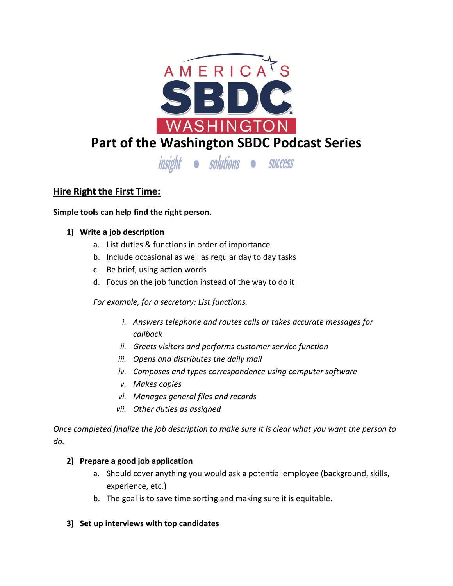

# **Hire Right the First Time:**

**Simple tools can help find the right person.**

# **1) Write a job description**

- a. List duties & functions in order of importance
- b. Include occasional as well as regular day to day tasks
- c. Be brief, using action words
- d. Focus on the job function instead of the way to do it

*For example, for a secretary: List functions.*

- *i. Answers telephone and routes calls or takes accurate messages for callback*
- *ii. Greets visitors and performs customer service function*
- *iii. Opens and distributes the daily mail*
- *iv. Composes and types correspondence using computer software*
- *v. Makes copies*
- *vi. Manages general files and records*
- *vii. Other duties as assigned*

*Once completed finalize the job description to make sure it is clear what you want the person to do.*

### **2) Prepare a good job application**

- a. Should cover anything you would ask a potential employee (background, skills, experience, etc.)
- b. The goal is to save time sorting and making sure it is equitable.
- **3) Set up interviews with top candidates**